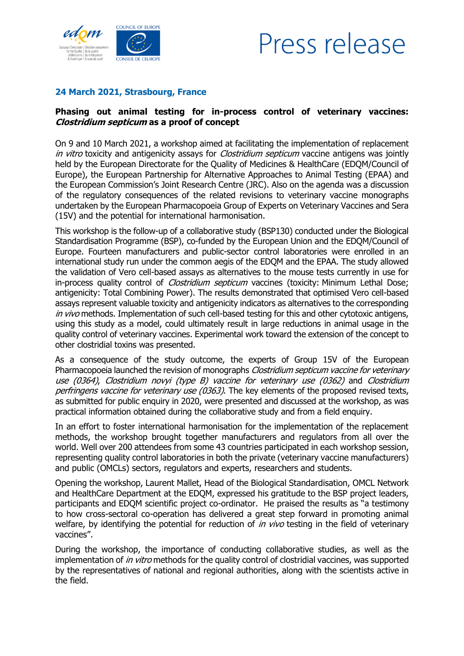

## Press release

## **24 March 2021, Strasbourg, France**

## **Phasing out animal testing for in-process control of veterinary vaccines: Clostridium septicum as a proof of concept**

On 9 and 10 March 2021, a workshop aimed at facilitating the implementation of replacement in vitro toxicity and antigenicity assays for *Clostridium septicum* vaccine antigens was jointly held by the European Directorate for the Quality of Medicines & HealthCare (EDQM/Council of Europe), the European Partnership for Alternative Approaches to Animal Testing (EPAA) and the European Commission's Joint Research Centre (JRC). Also on the agenda was a discussion of the regulatory consequences of the related revisions to veterinary vaccine monographs undertaken by the European Pharmacopoeia Group of Experts on Veterinary Vaccines and Sera (15V) and the potential for international harmonisation.

This workshop is the follow-up of a collaborative study (BSP130) conducted under the Biological Standardisation Programme (BSP), co-funded by the European Union and the EDQM/Council of Europe. Fourteen manufacturers and public-sector control laboratories were enrolled in an international study run under the common aegis of the EDQM and the EPAA. The study allowed the validation of Vero cell-based assays as alternatives to the mouse tests currently in use for in-process quality control of *Clostridium septicum* vaccines (toxicity: Minimum Lethal Dose; antigenicity: Total Combining Power). The results demonstrated that optimised Vero cell-based assays represent valuable toxicity and antigenicity indicators as alternatives to the corresponding in vivo methods. Implementation of such cell-based testing for this and other cytotoxic antigens, using this study as a model, could ultimately result in large reductions in animal usage in the quality control of veterinary vaccines. Experimental work toward the extension of the concept to other clostridial toxins was presented.

As a consequence of the study outcome, the experts of Group 15V of the European Pharmacopoeia launched the revision of monographs Clostridium septicum vaccine for veterinary use (0364), Clostridium novyi (type B) vaccine for veterinary use (0362) and Clostridium perfringens vaccine for veterinary use (0363). The key elements of the proposed revised texts, as submitted for public enquiry in 2020, were presented and discussed at the workshop, as was practical information obtained during the collaborative study and from a field enquiry.

In an effort to foster international harmonisation for the implementation of the replacement methods, the workshop brought together manufacturers and regulators from all over the world. Well over 200 attendees from some 43 countries participated in each workshop session, representing quality control laboratories in both the private (veterinary vaccine manufacturers) and public (OMCLs) sectors, regulators and experts, researchers and students.

Opening the workshop, Laurent Mallet, Head of the Biological Standardisation, OMCL Network and HealthCare Department at the EDQM, expressed his gratitude to the BSP project leaders, participants and EDQM scientific project co-ordinator. He praised the results as "a testimony to how cross-sectoral co-operation has delivered a great step forward in promoting animal welfare, by identifying the potential for reduction of *in vivo* testing in the field of veterinary vaccines".

During the workshop, the importance of conducting collaborative studies, as well as the implementation of *in vitro* methods for the quality control of clostridial vaccines, was supported by the representatives of national and regional authorities, along with the scientists active in the field.